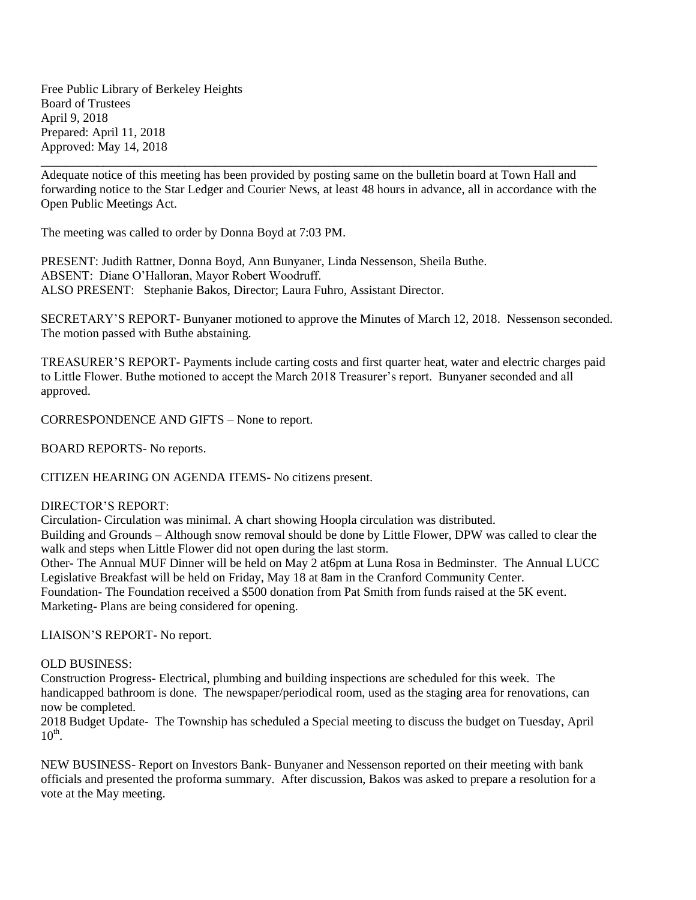Free Public Library of Berkeley Heights Board of Trustees April 9, 2018 Prepared: April 11, 2018 Approved: May 14, 2018

Adequate notice of this meeting has been provided by posting same on the bulletin board at Town Hall and forwarding notice to the Star Ledger and Courier News, at least 48 hours in advance, all in accordance with the Open Public Meetings Act.

\_\_\_\_\_\_\_\_\_\_\_\_\_\_\_\_\_\_\_\_\_\_\_\_\_\_\_\_\_\_\_\_\_\_\_\_\_\_\_\_\_\_\_\_\_\_\_\_\_\_\_\_\_\_\_\_\_\_\_\_\_\_\_\_\_\_\_\_\_\_\_\_\_\_\_\_\_\_\_\_\_\_\_\_\_\_\_\_\_

The meeting was called to order by Donna Boyd at 7:03 PM.

PRESENT: Judith Rattner, Donna Boyd, Ann Bunyaner, Linda Nessenson, Sheila Buthe. ABSENT: Diane O'Halloran, Mayor Robert Woodruff. ALSO PRESENT: Stephanie Bakos, Director; Laura Fuhro, Assistant Director.

SECRETARY'S REPORT- Bunyaner motioned to approve the Minutes of March 12, 2018. Nessenson seconded. The motion passed with Buthe abstaining.

TREASURER'S REPORT- Payments include carting costs and first quarter heat, water and electric charges paid to Little Flower. Buthe motioned to accept the March 2018 Treasurer's report. Bunyaner seconded and all approved.

CORRESPONDENCE AND GIFTS – None to report.

BOARD REPORTS- No reports.

CITIZEN HEARING ON AGENDA ITEMS- No citizens present.

## DIRECTOR'S REPORT:

Circulation- Circulation was minimal. A chart showing Hoopla circulation was distributed.

Building and Grounds – Although snow removal should be done by Little Flower, DPW was called to clear the walk and steps when Little Flower did not open during the last storm.

Other- The Annual MUF Dinner will be held on May 2 at6pm at Luna Rosa in Bedminster. The Annual LUCC Legislative Breakfast will be held on Friday, May 18 at 8am in the Cranford Community Center.

Foundation- The Foundation received a \$500 donation from Pat Smith from funds raised at the 5K event. Marketing- Plans are being considered for opening.

LIAISON'S REPORT- No report.

## OLD BUSINESS:

Construction Progress- Electrical, plumbing and building inspections are scheduled for this week. The handicapped bathroom is done. The newspaper/periodical room, used as the staging area for renovations, can now be completed.

2018 Budget Update- The Township has scheduled a Special meeting to discuss the budget on Tuesday, April  $10^{\text{th}}$ .

NEW BUSINESS- Report on Investors Bank- Bunyaner and Nessenson reported on their meeting with bank officials and presented the proforma summary. After discussion, Bakos was asked to prepare a resolution for a vote at the May meeting.